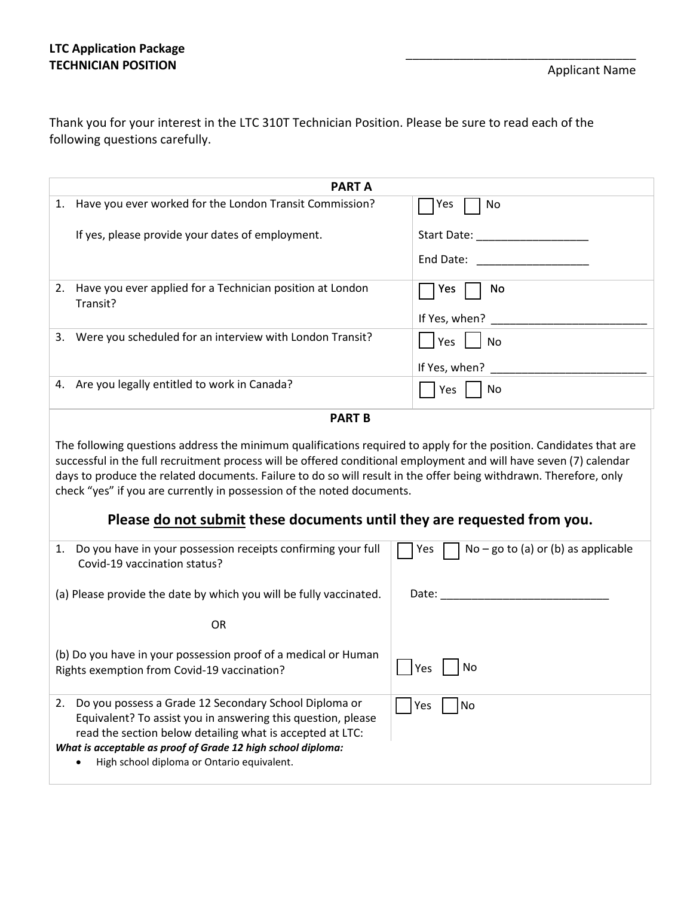\_\_\_\_\_\_\_\_\_\_\_\_\_\_\_\_\_\_\_\_\_\_\_\_\_\_\_\_\_\_\_\_\_\_

Thank you for your interest in the LTC 310T Technician Position. Please be sure to read each of the following questions carefully.

|                                                                                                                                                                                                                                                                                                                                                                                                                                                                                                                    | <b>PART A</b>                                                                                                                                                                                                                                                                                       |                                                   |  |  |  |
|--------------------------------------------------------------------------------------------------------------------------------------------------------------------------------------------------------------------------------------------------------------------------------------------------------------------------------------------------------------------------------------------------------------------------------------------------------------------------------------------------------------------|-----------------------------------------------------------------------------------------------------------------------------------------------------------------------------------------------------------------------------------------------------------------------------------------------------|---------------------------------------------------|--|--|--|
| 1.                                                                                                                                                                                                                                                                                                                                                                                                                                                                                                                 | Have you ever worked for the London Transit Commission?                                                                                                                                                                                                                                             | Yes<br>No                                         |  |  |  |
|                                                                                                                                                                                                                                                                                                                                                                                                                                                                                                                    | If yes, please provide your dates of employment.                                                                                                                                                                                                                                                    | Start Date: The Start Date:                       |  |  |  |
|                                                                                                                                                                                                                                                                                                                                                                                                                                                                                                                    |                                                                                                                                                                                                                                                                                                     | End Date:                                         |  |  |  |
| 2.                                                                                                                                                                                                                                                                                                                                                                                                                                                                                                                 | Have you ever applied for a Technician position at London<br>Transit?                                                                                                                                                                                                                               | Yes<br>No                                         |  |  |  |
|                                                                                                                                                                                                                                                                                                                                                                                                                                                                                                                    |                                                                                                                                                                                                                                                                                                     | If Yes, when? ____                                |  |  |  |
|                                                                                                                                                                                                                                                                                                                                                                                                                                                                                                                    | 3. Were you scheduled for an interview with London Transit?                                                                                                                                                                                                                                         | <b>Yes</b><br><b>No</b>                           |  |  |  |
|                                                                                                                                                                                                                                                                                                                                                                                                                                                                                                                    |                                                                                                                                                                                                                                                                                                     | If Yes, when?                                     |  |  |  |
|                                                                                                                                                                                                                                                                                                                                                                                                                                                                                                                    | 4. Are you legally entitled to work in Canada?                                                                                                                                                                                                                                                      | Yes<br>No                                         |  |  |  |
|                                                                                                                                                                                                                                                                                                                                                                                                                                                                                                                    | <b>PART B</b>                                                                                                                                                                                                                                                                                       |                                                   |  |  |  |
| The following questions address the minimum qualifications required to apply for the position. Candidates that are<br>successful in the full recruitment process will be offered conditional employment and will have seven (7) calendar<br>days to produce the related documents. Failure to do so will result in the offer being withdrawn. Therefore, only<br>check "yes" if you are currently in possession of the noted documents.<br>Please do not submit these documents until they are requested from you. |                                                                                                                                                                                                                                                                                                     |                                                   |  |  |  |
|                                                                                                                                                                                                                                                                                                                                                                                                                                                                                                                    | 1. Do you have in your possession receipts confirming your full<br>Covid-19 vaccination status?                                                                                                                                                                                                     | $\Box$ No – go to (a) or (b) as applicable<br>Yes |  |  |  |
|                                                                                                                                                                                                                                                                                                                                                                                                                                                                                                                    | (a) Please provide the date by which you will be fully vaccinated.                                                                                                                                                                                                                                  | Date: Date:                                       |  |  |  |
|                                                                                                                                                                                                                                                                                                                                                                                                                                                                                                                    | <b>OR</b>                                                                                                                                                                                                                                                                                           |                                                   |  |  |  |
|                                                                                                                                                                                                                                                                                                                                                                                                                                                                                                                    | (b) Do you have in your possession proof of a medical or Human<br>Rights exemption from Covid-19 vaccination?                                                                                                                                                                                       | No<br>Yes                                         |  |  |  |
|                                                                                                                                                                                                                                                                                                                                                                                                                                                                                                                    | 2. Do you possess a Grade 12 Secondary School Diploma or<br>Equivalent? To assist you in answering this question, please<br>read the section below detailing what is accepted at LTC:<br>What is acceptable as proof of Grade 12 high school diploma:<br>High school diploma or Ontario equivalent. | No<br>Yes                                         |  |  |  |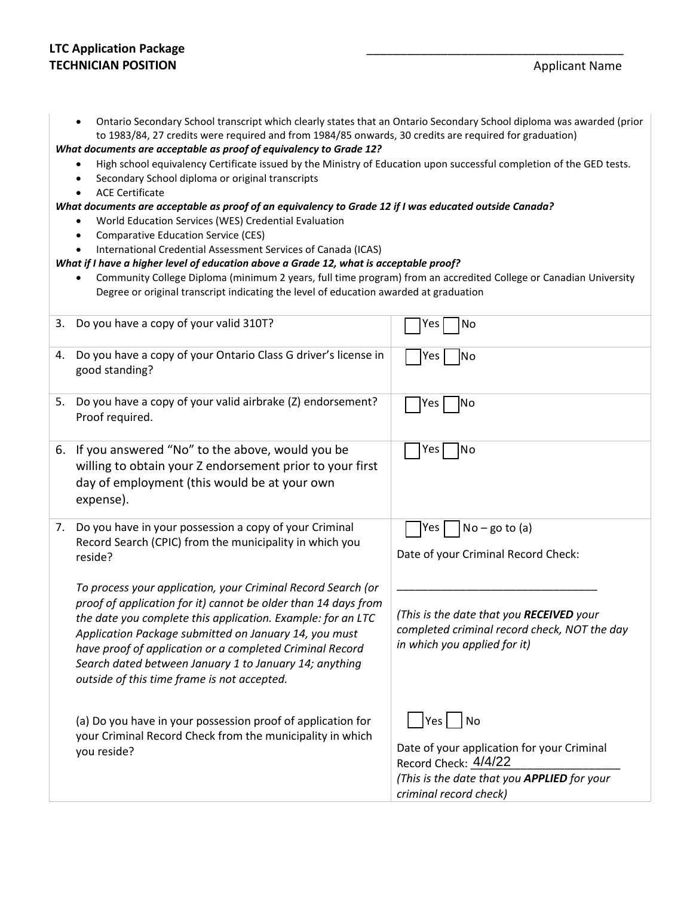## **LTC Application Package TECHNICIAN POSITION** *Applicant Name*

| Ontario Secondary School transcript which clearly states that an Ontario Secondary School diploma was awarded (prior |
|----------------------------------------------------------------------------------------------------------------------|
| to 1983/84, 27 credits were required and from 1984/85 onwards, 30 credits are required for graduation)               |

*What documents are acceptable as proof of equivalency to Grade 12?*

- High school equivalency Certificate issued by the Ministry of Education upon successful completion of the GED tests.
- Secondary School diploma or original transcripts
- ACE Certificate

## *What documents are acceptable as proof of an equivalency to Grade 12 if I was educated outside Canada?*

- World Education Services (WES) Credential Evaluation
- Comparative Education Service (CES)
- International Credential Assessment Services of Canada (ICAS)

## *What if I have a higher level of education above a Grade 12, what is acceptable proof?*

• Community College Diploma (minimum 2 years, full time program) from an accredited College or Canadian University Degree or original transcript indicating the level of education awarded at graduation

| 3. | Do you have a copy of your valid 310T?                                                                                                                                                                                                                                                                                                                                                                                      | No<br>Yes                                                                                                                                                  |
|----|-----------------------------------------------------------------------------------------------------------------------------------------------------------------------------------------------------------------------------------------------------------------------------------------------------------------------------------------------------------------------------------------------------------------------------|------------------------------------------------------------------------------------------------------------------------------------------------------------|
| 4. | Do you have a copy of your Ontario Class G driver's license in<br>good standing?                                                                                                                                                                                                                                                                                                                                            | <b>No</b><br>Yes                                                                                                                                           |
| 5. | Do you have a copy of your valid airbrake (Z) endorsement?<br>Proof required.                                                                                                                                                                                                                                                                                                                                               | No<br>Yes                                                                                                                                                  |
| 6. | If you answered "No" to the above, would you be<br>willing to obtain your Z endorsement prior to your first<br>day of employment (this would be at your own<br>expense).                                                                                                                                                                                                                                                    | No<br>Yes                                                                                                                                                  |
| 7. | Do you have in your possession a copy of your Criminal<br>Record Search (CPIC) from the municipality in which you<br>reside?                                                                                                                                                                                                                                                                                                | $No - go to (a)$<br>Yes<br>Date of your Criminal Record Check:                                                                                             |
|    | To process your application, your Criminal Record Search (or<br>proof of application for it) cannot be older than 14 days from<br>the date you complete this application. Example: for an LTC<br>Application Package submitted on January 14, you must<br>have proof of application or a completed Criminal Record<br>Search dated between January 1 to January 14; anything<br>outside of this time frame is not accepted. | (This is the date that you RECEIVED your<br>completed criminal record check, NOT the day<br>in which you applied for it)                                   |
|    | (a) Do you have in your possession proof of application for<br>your Criminal Record Check from the municipality in which<br>you reside?                                                                                                                                                                                                                                                                                     | No<br>Yes  <br>Date of your application for your Criminal<br>Record Check: 4/4/22<br>(This is the date that you APPLIED for your<br>criminal record check) |